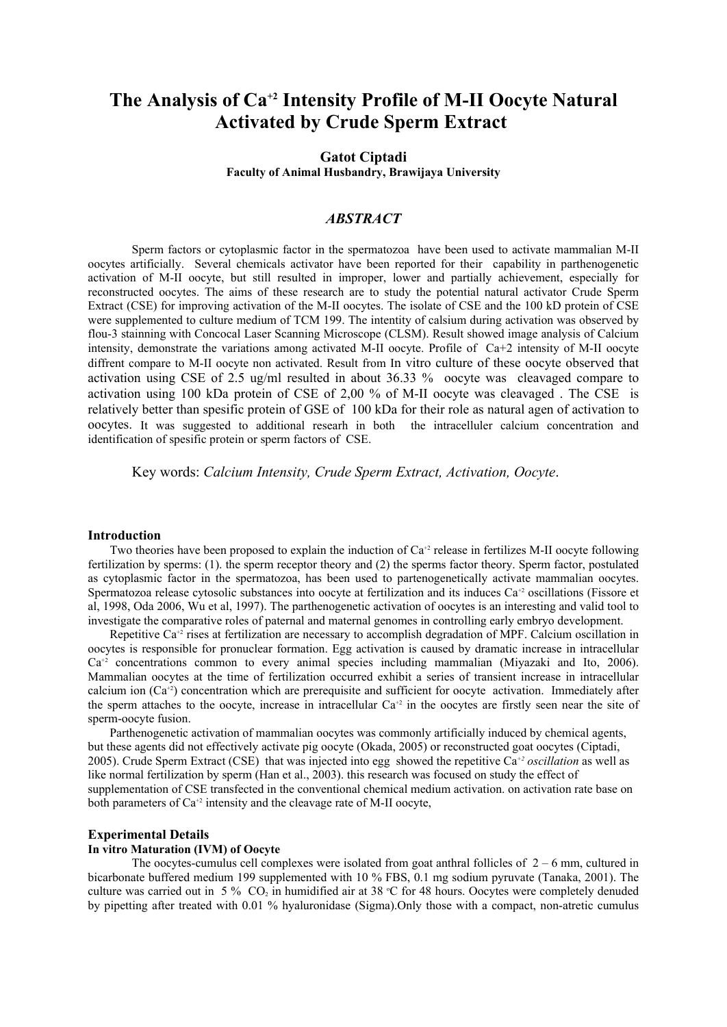# **The Analysis of Ca+2 Intensity Profile of M-II Oocyte Natural Activated by Crude Sperm Extract**

# **Gatot Ciptadi Faculty of Animal Husbandry, Brawijaya University**

# *ABSTRACT*

Sperm factors or cytoplasmic factor in the spermatozoa have been used to activate mammalian M-II oocytes artificially. Several chemicals activator have been reported for their capability in parthenogenetic activation of M-II oocyte, but still resulted in improper, lower and partially achievement, especially for reconstructed oocytes. The aims of these research are to study the potential natural activator Crude Sperm Extract (CSE) for improving activation of the M-II oocytes. The isolate of CSE and the 100 kD protein of CSE were supplemented to culture medium of TCM 199. The intentity of calsium during activation was observed by flou-3 stainning with Concocal Laser Scanning Microscope (CLSM). Result showed image analysis of Calcium intensity, demonstrate the variations among activated M-II oocyte. Profile of Ca+2 intensity of M-II oocyte diffrent compare to M-II oocyte non activated. Result from In vitro culture of these oocyte observed that activation using CSE of 2.5 ug/ml resulted in about 36.33 % oocyte was cleavaged compare to activation using 100 kDa protein of CSE of 2,00 % of M-II oocyte was cleavaged . The CSE is relatively better than spesific protein of GSE of 100 kDa for their role as natural agen of activation to oocytes. It was suggested to additional researh in both the intracelluler calcium concentration and identification of spesific protein or sperm factors of CSE.

Key words: *Calcium Intensity, Crude Sperm Extract, Activation, Oocyte*.

#### **Introduction**

Two theories have been proposed to explain the induction of  $Ca^{2}$  release in fertilizes M-II oocyte following fertilization by sperms: (1). the sperm receptor theory and (2) the sperms factor theory. Sperm factor, postulated as cytoplasmic factor in the spermatozoa, has been used to partenogenetically activate mammalian oocytes. Spermatozoa release cytosolic substances into oocyte at fertilization and its induces Ca<sup>+2</sup> oscillations (Fissore et al, 1998, Oda 2006, Wu et al, 1997). The parthenogenetic activation of oocytes is an interesting and valid tool to investigate the comparative roles of paternal and maternal genomes in controlling early embryo development.

Repetitive Ca+2 rises at fertilization are necessary to accomplish degradation of MPF. Calcium oscillation in oocytes is responsible for pronuclear formation. Egg activation is caused by dramatic increase in intracellular Ca<sup>+2</sup> concentrations common to every animal species including mammalian (Miyazaki and Ito, 2006). Mammalian oocytes at the time of fertilization occurred exhibit a series of transient increase in intracellular calcium ion  $(Ca^{2})$  concentration which are prerequisite and sufficient for oocyte activation. Immediately after the sperm attaches to the oocyte, increase in intracellular  $Ca^{2}$  in the oocytes are firstly seen near the site of sperm-oocyte fusion.

Parthenogenetic activation of mammalian oocytes was commonly artificially induced by chemical agents, but these agents did not effectively activate pig oocyte (Okada, 2005) or reconstructed goat oocytes (Ciptadi, 2005). Crude Sperm Extract (CSE) that was injected into egg showed the repetitive Ca*+2 oscillation* as well as like normal fertilization by sperm (Han et al., 2003). this research was focused on study the effect of supplementation of CSE transfected in the conventional chemical medium activation. on activation rate base on both parameters of Ca<sup>+2</sup> intensity and the cleavage rate of M-II oocyte,

# **Experimental Details**

## **In vitro Maturation (IVM) of Oocyte**

The oocytes-cumulus cell complexes were isolated from goat anthral follicles of  $2 - 6$  mm, cultured in bicarbonate buffered medium 199 supplemented with 10 % FBS, 0.1 mg sodium pyruvate (Tanaka, 2001). The culture was carried out in 5 %  $CO<sub>2</sub>$  in humidified air at 38 °C for 48 hours. Oocytes were completely denuded by pipetting after treated with 0.01 % hyaluronidase (Sigma).Only those with a compact, non-atretic cumulus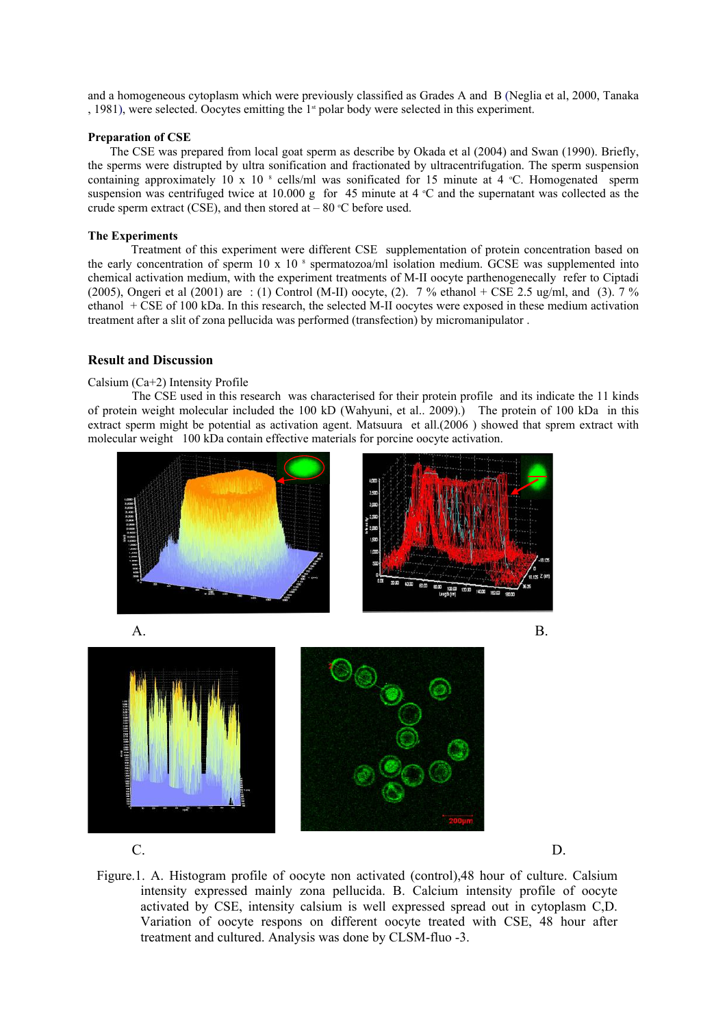and a homogeneous cytoplasm which were previously classified as Grades A and B (Neglia et al, 2000, Tanaka , 1981), were selected. Oocytes emitting the  $1<sup>st</sup>$  polar body were selected in this experiment.

## **Preparation of CSE**

The CSE was prepared from local goat sperm as describe by Okada et al (2004) and Swan (1990). Briefly, the sperms were distrupted by ultra sonification and fractionated by ultracentrifugation. The sperm suspension containing approximately 10 x 10  $\degree$  cells/ml was sonificated for 15 minute at 4  $\degree$ C. Homogenated sperm suspension was centrifuged twice at 10.000 g for 45 minute at 4  $\degree$ C and the supernatant was collected as the crude sperm extract (CSE), and then stored at  $-80$  °C before used.

#### **The Experiments**

Treatment of this experiment were different CSE supplementation of protein concentration based on the early concentration of sperm  $10 \times 10^{-8}$  spermatozoa/ml isolation medium. GCSE was supplemented into chemical activation medium, with the experiment treatments of M-II oocyte parthenogenecally refer to Ciptadi (2005), Ongeri et al (2001) are : (1) Control (M-II) oocyte, (2). 7 % ethanol + CSE 2.5 ug/ml, and (3). 7 % ethanol + CSE of 100 kDa. In this research, the selected M-II oocytes were exposed in these medium activation treatment after a slit of zona pellucida was performed (transfection) by micromanipulator .

## **Result and Discussion**

# Calsium (Ca+2) Intensity Profile

The CSE used in this research was characterised for their protein profile and its indicate the 11 kinds of protein weight molecular included the 100 kD (Wahyuni, et al.. 2009).) The protein of 100 kDa in this extract sperm might be potential as activation agent. Matsuura et all.(2006 ) showed that sprem extract with molecular weight 100 kDa contain effective materials for porcine oocyte activation.



 $\mathbb{C}$ . D.



Figure.1. A. Histogram profile of oocyte non activated (control),48 hour of culture. Calsium intensity expressed mainly zona pellucida. B. Calcium intensity profile of oocyte activated by CSE, intensity calsium is well expressed spread out in cytoplasm C,D. Variation of oocyte respons on different oocyte treated with CSE, 48 hour after treatment and cultured. Analysis was done by CLSM-fluo -3.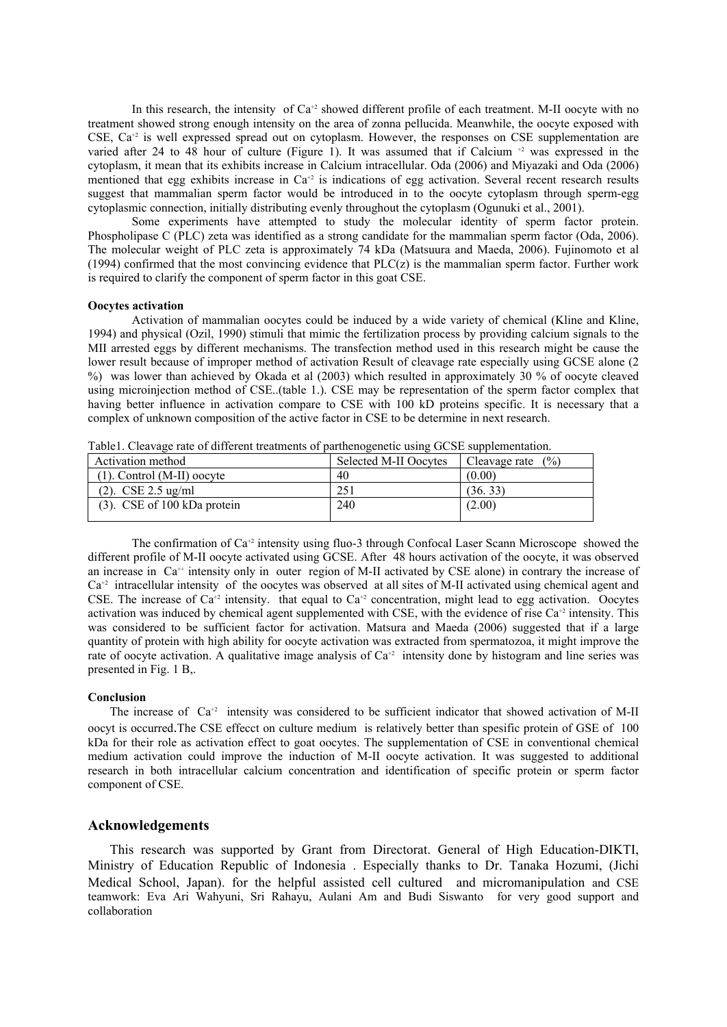In this research, the intensity of  $Ca^{2}$  showed different profile of each treatment. M-II oocyte with no treatment showed strong enough intensity on the area of zonna pellucida. Meanwhile, the oocyte exposed with CSE,  $Ca^{2}$  is well expressed spread out on cytoplasm. However, the responses on CSE supplementation are varied after 24 to 48 hour of culture (Figure 1). It was assumed that if Calcium  $+2$  was expressed in the cytoplasm, it mean that its exhibits increase in Calcium intracellular. Oda (2006) and Miyazaki and Oda (2006) mentioned that egg exhibits increase in Ca<sup>+2</sup> is indications of egg activation. Several recent research results suggest that mammalian sperm factor would be introduced in to the oocyte cytoplasm through sperm-egg cytoplasmic connection, initially distributing evenly throughout the cytoplasm (Ogunuki et al., 2001).

Some experiments have attempted to study the molecular identity of sperm factor protein. Phospholipase C (PLC) zeta was identified as a strong candidate for the mammalian sperm factor (Oda, 2006). The molecular weight of PLC zeta is approximately 74 kDa (Matsuura and Maeda, 2006). Fujinomoto et al (1994) confirmed that the most convincing evidence that  $PLC(z)$  is the mammalian sperm factor. Further work is required to clarify the component of sperm factor in this goat CSE.

#### **Oocytes activation**

Activation of mammalian oocytes could be induced by a wide variety of chemical (Kline and Kline, 1994) and physical (Ozil, 1990) stimuli that mimic the fertilization process by providing calcium signals to the MII arrested eggs by different mechanisms. The transfection method used in this research might be cause the lower result because of improper method of activation Result of cleavage rate especially using GCSE alone (2) %) was lower than achieved by Okada et al (2003) which resulted in approximately 30 % of oocyte cleaved using microinjection method of CSE..(table 1.). CSE may be representation of the sperm factor complex that having better influence in activation compare to CSE with 100 kD proteins specific. It is necessary that a complex of unknown composition of the active factor in CSE to be determine in next research.

Table1. Cleavage rate of different treatments of parthenogenetic using GCSE supplementation.

| Activation method              | Selected M-II Oocytes | (%)<br>Cleavage rate |
|--------------------------------|-----------------------|----------------------|
| $(1)$ . Control (M-II) oocyte  | 40                    | (0.00)               |
| $(2)$ . CSE 2.5 ug/ml          | 251                   | (36, 33)             |
| $(3)$ . CSE of 100 kDa protein | 240                   | (2.00)               |
|                                |                       |                      |

The confirmation of  $Ca^{2}$  intensity using fluo-3 through Confocal Laser Scann Microscope showed the different profile of M-II oocyte activated using GCSE. After 48 hours activation of the oocyte, it was observed an increase in Ca<sup>++</sup> intensity only in outer region of M-II activated by CSE alone) in contrary the increase of  $Ca<sup>2</sup>$  intracellular intensity of the oocytes was observed at all sites of M-II activated using chemical agent and CSE. The increase of  $Ca^{+2}$  intensity. that equal to  $Ca^{+2}$  concentration, might lead to egg activation. Oocytes activation was induced by chemical agent supplemented with CSE, with the evidence of rise  $Ca^{+2}$  intensity. This was considered to be sufficient factor for activation. Matsura and Maeda (2006) suggested that if a large quantity of protein with high ability for oocyte activation was extracted from spermatozoa, it might improve the rate of oocyte activation. A qualitative image analysis of  $Ca^{2}$  intensity done by histogram and line series was presented in Fig. 1 B,.

#### **Conclusion**

The increase of  $Ca^{+2}$  intensity was considered to be sufficient indicator that showed activation of M-II oocyt is occurred.The CSE effecct on culture medium is relatively better than spesific protein of GSE of 100 kDa for their role as activation effect to goat oocytes. The supplementation of CSE in conventional chemical medium activation could improve the induction of M-II oocyte activation. It was suggested to additional research in both intracellular calcium concentration and identification of specific protein or sperm factor component of CSE.

# **Acknowledgements**

This research was supported by Grant from Directorat. General of High Education-DIKTI, Ministry of Education Republic of Indonesia . Especially thanks to Dr. Tanaka Hozumi, (Jichi Medical School, Japan). for the helpful assisted cell cultured and micromanipulation and CSE teamwork: Eva Ari Wahyuni, Sri Rahayu, Aulani Am and Budi Siswanto for very good support and collaboration